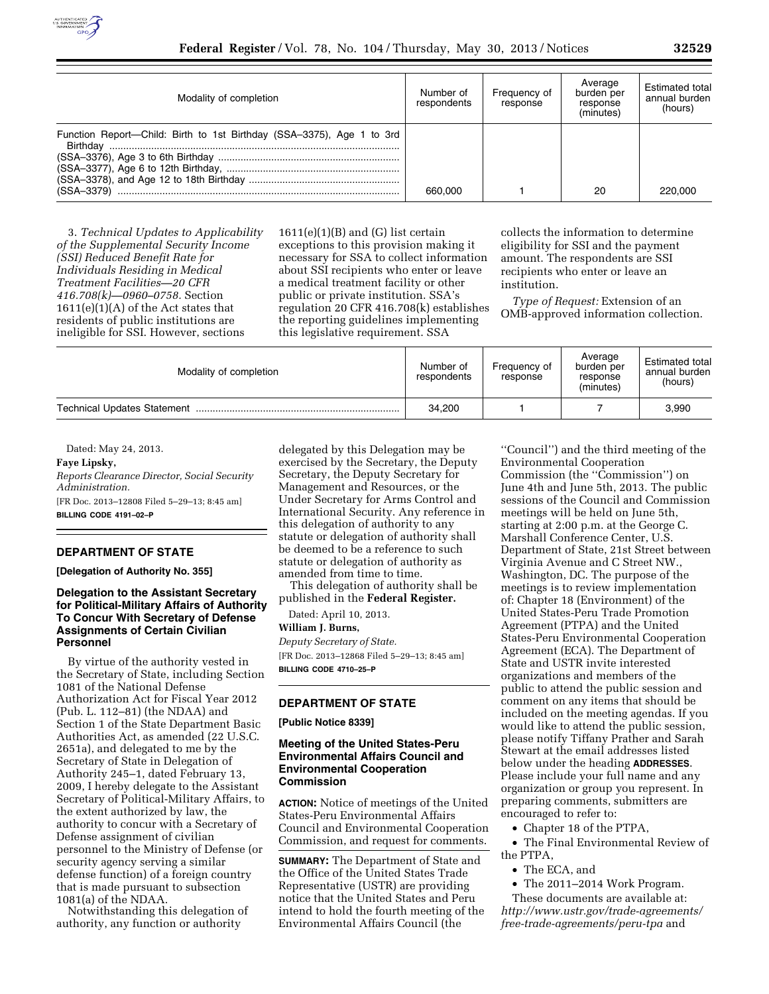

| Modality of completion                                                            | Number of<br>respondents | Frequency of<br>response | Average<br>burden per<br>response<br>(minutes) | Estimated total<br>annual burden<br>(hours) |
|-----------------------------------------------------------------------------------|--------------------------|--------------------------|------------------------------------------------|---------------------------------------------|
| Function Report—Child: Birth to 1st Birthday (SSA-3375), Age 1 to 3rd<br>Birthdav |                          |                          |                                                |                                             |
| $(SSA-3379)$                                                                      | 660,000                  |                          | 20                                             | 220,000                                     |

3. *Technical Updates to Applicability of the Supplemental Security Income (SSI) Reduced Benefit Rate for Individuals Residing in Medical Treatment Facilities—20 CFR 416.708(k)—0960–0758.* Section  $1611(e)(1)(A)$  of the Act states that residents of public institutions are ineligible for SSI. However, sections

 $1611(e)(1)(B)$  and  $(G)$  list certain exceptions to this provision making it necessary for SSA to collect information about SSI recipients who enter or leave a medical treatment facility or other public or private institution. SSA's regulation 20 CFR 416.708(k) establishes the reporting guidelines implementing this legislative requirement. SSA

collects the information to determine eligibility for SSI and the payment amount. The respondents are SSI recipients who enter or leave an institution.

*Type of Request:* Extension of an OMB-approved information collection.

| Modality of completion      | Number of<br>respondents | Frequency of<br>response | Average<br>burden per<br>response<br>(minutes) | <b>Estimated total</b><br>annual burden<br>(hours) |
|-----------------------------|--------------------------|--------------------------|------------------------------------------------|----------------------------------------------------|
| Technical Updates Statement | 34,200                   |                          |                                                | 3,990                                              |

Dated: May 24, 2013.

**Faye Lipsky,** 

*Reports Clearance Director, Social Security Administration.*  [FR Doc. 2013–12808 Filed 5–29–13; 8:45 am] **BILLING CODE 4191–02–P** 

# **DEPARTMENT OF STATE**

**[Delegation of Authority No. 355]** 

# **Delegation to the Assistant Secretary for Political-Military Affairs of Authority To Concur With Secretary of Defense Assignments of Certain Civilian Personnel**

By virtue of the authority vested in the Secretary of State, including Section 1081 of the National Defense Authorization Act for Fiscal Year 2012 (Pub. L. 112–81) (the NDAA) and Section 1 of the State Department Basic Authorities Act, as amended (22 U.S.C. 2651a), and delegated to me by the Secretary of State in Delegation of Authority 245–1, dated February 13, 2009, I hereby delegate to the Assistant Secretary of Political-Military Affairs, to the extent authorized by law, the authority to concur with a Secretary of Defense assignment of civilian personnel to the Ministry of Defense (or security agency serving a similar defense function) of a foreign country that is made pursuant to subsection 1081(a) of the NDAA.

Notwithstanding this delegation of authority, any function or authority

delegated by this Delegation may be exercised by the Secretary, the Deputy Secretary, the Deputy Secretary for Management and Resources, or the Under Secretary for Arms Control and International Security. Any reference in this delegation of authority to any statute or delegation of authority shall be deemed to be a reference to such statute or delegation of authority as amended from time to time.

This delegation of authority shall be published in the **Federal Register.** 

Dated: April 10, 2013.

## **William J. Burns,**

*Deputy Secretary of State.*  [FR Doc. 2013–12868 Filed 5–29–13; 8:45 am] **BILLING CODE 4710–25–P** 

# **DEPARTMENT OF STATE**

**[Public Notice 8339]** 

#### **Meeting of the United States-Peru Environmental Affairs Council and Environmental Cooperation Commission**

**ACTION:** Notice of meetings of the United States-Peru Environmental Affairs Council and Environmental Cooperation Commission, and request for comments.

**SUMMARY:** The Department of State and the Office of the United States Trade Representative (USTR) are providing notice that the United States and Peru intend to hold the fourth meeting of the Environmental Affairs Council (the

''Council'') and the third meeting of the Environmental Cooperation Commission (the ''Commission'') on June 4th and June 5th, 2013. The public sessions of the Council and Commission meetings will be held on June 5th, starting at 2:00 p.m. at the George C. Marshall Conference Center, U.S. Department of State, 21st Street between Virginia Avenue and C Street NW., Washington, DC. The purpose of the meetings is to review implementation of: Chapter 18 (Environment) of the United States-Peru Trade Promotion Agreement (PTPA) and the United States-Peru Environmental Cooperation Agreement (ECA). The Department of State and USTR invite interested organizations and members of the public to attend the public session and comment on any items that should be included on the meeting agendas. If you would like to attend the public session, please notify Tiffany Prather and Sarah Stewart at the email addresses listed below under the heading **ADDRESSES**. Please include your full name and any organization or group you represent. In preparing comments, submitters are encouraged to refer to:

• Chapter 18 of the PTPA,

• The Final Environmental Review of the PTPA,

- The ECA, and
- The 2011–2014 Work Program.

These documents are available at: *[http://www.ustr.gov/trade-agreements/](http://www.ustr.gov/trade-agreements/free-trade-agreements/peru-tpa)  [free-trade-agreements/peru-tpa](http://www.ustr.gov/trade-agreements/free-trade-agreements/peru-tpa)* and